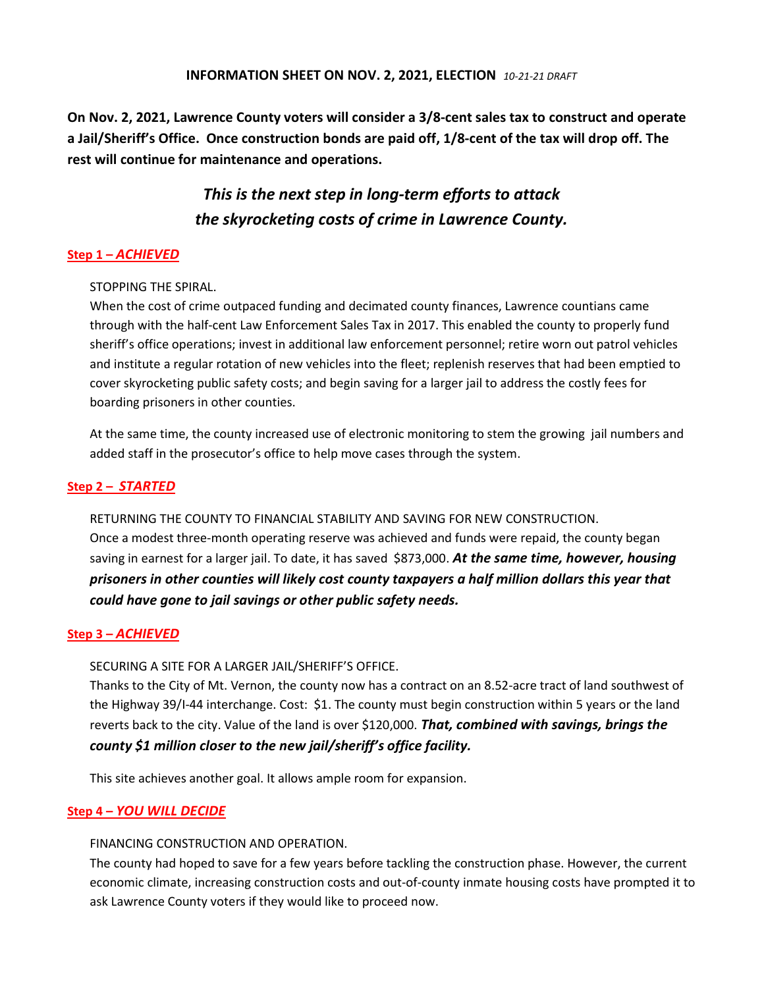On Nov. 2, 2021, Lawrence County voters will consider a 3/8-cent sales tax to construct and operate a Jail/Sheriff's Office. Once construction bonds are paid off, 1/8-cent of the tax will drop off. The rest will continue for maintenance and operations.

# This is the next step in long-term efforts to attack the skyrocketing costs of crime in Lawrence County.

# Step 1 – ACHIEVED

## STOPPING THE SPIRAL.

When the cost of crime outpaced funding and decimated county finances, Lawrence countians came through with the half-cent Law Enforcement Sales Tax in 2017. This enabled the county to properly fund sheriff's office operations; invest in additional law enforcement personnel; retire worn out patrol vehicles and institute a regular rotation of new vehicles into the fleet; replenish reserves that had been emptied to cover skyrocketing public safety costs; and begin saving for a larger jail to address the costly fees for boarding prisoners in other counties.

At the same time, the county increased use of electronic monitoring to stem the growing jail numbers and added staff in the prosecutor's office to help move cases through the system.

## Step 2 – STARTED

RETURNING THE COUNTY TO FINANCIAL STABILITY AND SAVING FOR NEW CONSTRUCTION. Once a modest three-month operating reserve was achieved and funds were repaid, the county began saving in earnest for a larger jail. To date, it has saved \$873,000. At the same time, however, housing prisoners in other counties will likely cost county taxpayers a half million dollars this year that could have gone to jail savings or other public safety needs.

## Step 3 – ACHIEVED

#### SECURING A SITE FOR A LARGER JAIL/SHERIFF'S OFFICE.

Thanks to the City of Mt. Vernon, the county now has a contract on an 8.52-acre tract of land southwest of the Highway 39/I-44 interchange. Cost: \$1. The county must begin construction within 5 years or the land reverts back to the city. Value of the land is over \$120,000. That, combined with savings, brings the county \$1 million closer to the new jail/sheriff's office facility.

This site achieves another goal. It allows ample room for expansion.

#### Step 4 – YOU WILL DECIDE

#### FINANCING CONSTRUCTION AND OPERATION.

The county had hoped to save for a few years before tackling the construction phase. However, the current economic climate, increasing construction costs and out-of-county inmate housing costs have prompted it to ask Lawrence County voters if they would like to proceed now.